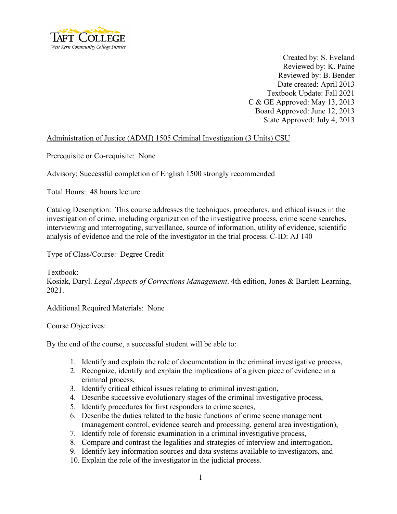

Created by: S. Eveland Reviewed by: K. Paine Reviewed by: B. Bender Date created: April 2013 Textbook Update: Fall 2021 C & GE Approved: May 13, 2013 Board Approved: June 12, 2013 State Approved: July 4, 2013

#### Administration of Justice (ADMJ) 1505 Criminal Investigation (3 Units) CSU

Prerequisite or Co-requisite: None

Advisory: Successful completion of English 1500 strongly recommended

Total Hours: 48 hours lecture

Catalog Description: This course addresses the techniques, procedures, and ethical issues in the investigation of crime, including organization of the investigative process, crime scene searches, interviewing and interrogating, surveillance, source of information, utility of evidence, scientific analysis of evidence and the role of the investigator in the trial process. C-ID: AJ 140

Type of Class/Course: Degree Credit

Textbook: Kosiak, Daryl. *Legal Aspects of Corrections Management*. 4th edition, Jones & Bartlett Learning, 2021.

Additional Required Materials: None

Course Objectives:

By the end of the course, a successful student will be able to:

- 1. Identify and explain the role of documentation in the criminal investigative process,
- 2. Recognize, identify and explain the implications of a given piece of evidence in a criminal process,
- 3. Identify critical ethical issues relating to criminal investigation,
- 4. Describe successive evolutionary stages of the criminal investigative process,
- 5. Identify procedures for first responders to crime scenes,
- 6. Describe the duties related to the basic functions of crime scene management (management control, evidence search and processing, general area investigation),
- 7. Identify role of forensic examination in a criminal investigative process,
- 8. Compare and contrast the legalities and strategies of interview and interrogation,
- 9. Identify key information sources and data systems available to investigators, and
- 10. Explain the role of the investigator in the judicial process.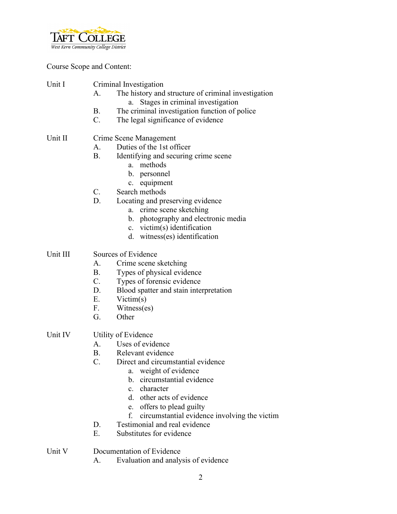

Course Scope and Content:

| Unit I  | Criminal Investigation<br>The history and structure of criminal investigation<br>А.<br>a. Stages in criminal investigation<br>The criminal investigation function of police<br>В.<br>The legal significance of evidence<br>$\mathbf{C}$ . |
|---------|-------------------------------------------------------------------------------------------------------------------------------------------------------------------------------------------------------------------------------------------|
| Unit II | Crime Scene Management<br>Duties of the 1st officer<br>$A_{\cdot}$<br>Identifying and securing crime scene<br>В.<br>a. methods<br>b. personnel                                                                                            |

- c. equipment
- C. Search methods
- D. Locating and preserving evidence
	- a. crime scene sketching
	- b. photography and electronic media
	- c. victim(s) identification
	- d. witness(es) identification

#### Unit III Sources of Evidence

- A. Crime scene sketching
- B. Types of physical evidence
- C. Types of forensic evidence
- D. Blood spatter and stain interpretation
- E. Victim(s)
- F. Witness(es)
- G. Other
- Unit IV Utility of Evidence
	- A. Uses of evidence
	- B. Relevant evidence
	- C. Direct and circumstantial evidence
		- a. weight of evidence
			- b. circumstantial evidence
			- c. character
			- d. other acts of evidence
			- e. offers to plead guilty
		- f. circumstantial evidence involving the victim
	- D. Testimonial and real evidence
	- E. Substitutes for evidence
- Unit V Documentation of Evidence
	- A. Evaluation and analysis of evidence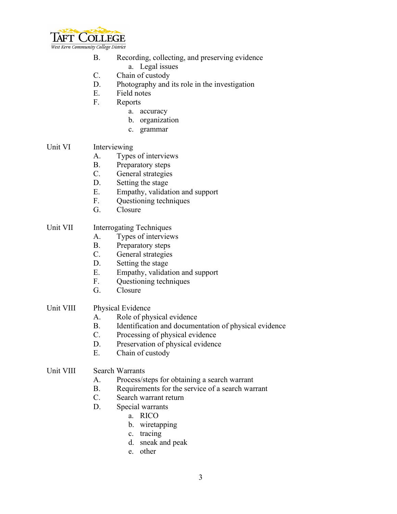

- B. Recording, collecting, and preserving evidence
	- a. Legal issues
- C. Chain of custody
- D. Photography and its role in the investigation
- E. Field notes
- F. Reports
	- a. accuracy
	- b. organization
	- c. grammar

#### Unit VI Interviewing

- A. Types of interviews
- B. Preparatory steps
- C. General strategies
- D. Setting the stage
- E. Empathy, validation and support
- F. Questioning techniques
- G. Closure

#### Unit VII Interrogating Techniques

- A. Types of interviews
- B. Preparatory steps
- C. General strategies
- D. Setting the stage
- E. Empathy, validation and support
- F. Questioning techniques
- G. Closure

# Unit VIII Physical Evidence

- A. Role of physical evidence
- B. Identification and documentation of physical evidence
- C. Processing of physical evidence
- D. Preservation of physical evidence
- E. Chain of custody

#### Unit VIII Search Warrants

- A. Process/steps for obtaining a search warrant
- B. Requirements for the service of a search warrant
- C. Search warrant return
- D. Special warrants
	- a. RICO
	- b. wiretapping
	- c. tracing
	- d. sneak and peak
	- e. other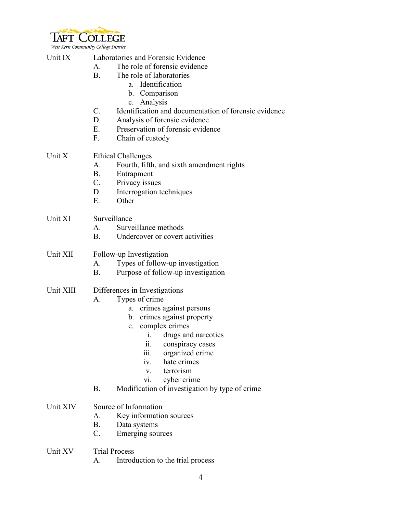

West Kern Community College District

# Unit IX Laboratories and Forensic Evidence A. The role of forensic evidence

- B. The role of laboratories
	- a. Identification
	- b. Comparison
	- c. Analysis
- C. Identification and documentation of forensic evidence
- D. Analysis of forensic evidence
- E. Preservation of forensic evidence
- F. Chain of custody

# Unit X Ethical Challenges

- A. Fourth, fifth, and sixth amendment rights
- B. Entrapment
- C. Privacy issues
- D. Interrogation techniques
- E. Other

# Unit XI Surveillance

- A. Surveillance methods
- B. Undercover or covert activities

# Unit XII Follow-up Investigation

- A. Types of follow-up investigation
- B. Purpose of follow-up investigation

# Unit XIII Differences in Investigations

- A. Types of crime
	- a. crimes against persons
	- b. crimes against property
	- c. complex crimes
		- i. drugs and narcotics
		- ii. conspiracy cases
		- iii. organized crime
		- iv. hate crimes
		- v. terrorism
		- vi. cyber crime
- B. Modification of investigation by type of crime

# Unit XIV Source of Information

- A. Key information sources
- B. Data systems
- C. Emerging sources
- Unit XV Trial Process
	- A. Introduction to the trial process